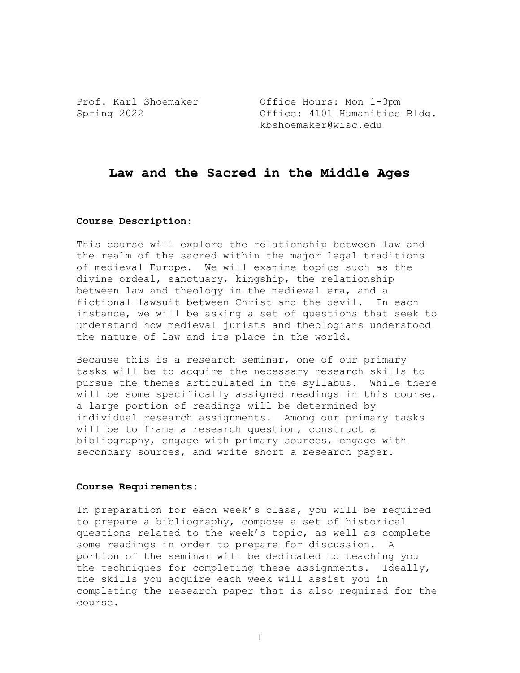Prof. Karl Shoemaker **Office Hours: Mon 1-3pm** Spring 2022 **Office:** 4101 Humanities Bldg. kbshoemaker@wisc.edu

# **Law and the Sacred in the Middle Ages**

#### **Course Description**:

This course will explore the relationship between law and the realm of the sacred within the major legal traditions of medieval Europe. We will examine topics such as the divine ordeal, sanctuary, kingship, the relationship between law and theology in the medieval era, and a fictional lawsuit between Christ and the devil. In each instance, we will be asking a set of questions that seek to understand how medieval jurists and theologians understood the nature of law and its place in the world.

Because this is a research seminar, one of our primary tasks will be to acquire the necessary research skills to pursue the themes articulated in the syllabus. While there will be some specifically assigned readings in this course, a large portion of readings will be determined by individual research assignments. Among our primary tasks will be to frame a research question, construct a bibliography, engage with primary sources, engage with secondary sources, and write short a research paper.

#### **Course Requirements:**

In preparation for each week's class, you will be required to prepare a bibliography, compose a set of historical questions related to the week's topic, as well as complete some readings in order to prepare for discussion. A portion of the seminar will be dedicated to teaching you the techniques for completing these assignments. Ideally, the skills you acquire each week will assist you in completing the research paper that is also required for the course.

1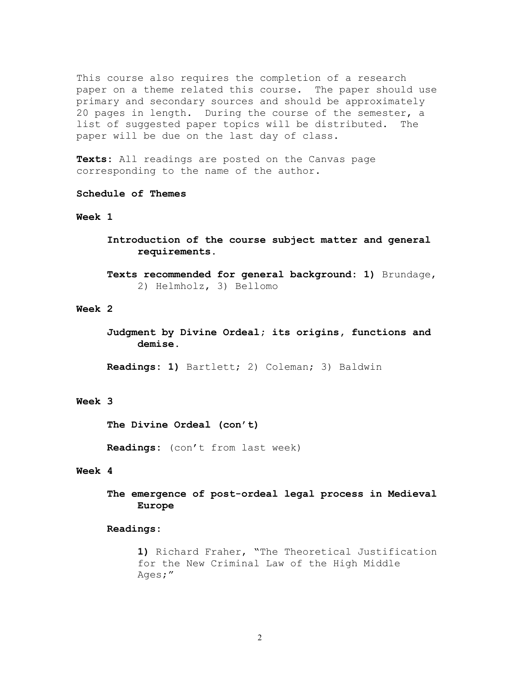This course also requires the completion of a research paper on a theme related this course. The paper should use primary and secondary sources and should be approximately 20 pages in length. During the course of the semester, a list of suggested paper topics will be distributed. The paper will be due on the last day of class.

**Texts:** All readings are posted on the Canvas page corresponding to the name of the author.

#### **Schedule of Themes**

## **Week 1**

**Introduction of the course subject matter and general requirements.** 

**Texts recommended for general background: 1)** Brundage, 2) Helmholz, 3) Bellomo

## **Week 2**

**Judgment by Divine Ordeal; its origins, functions and demise.**

**Readings: 1)** Bartlett; 2) Coleman; 3) Baldwin

# **Week 3**

**The Divine Ordeal (con't)**

**Readings:** (con't from last week)

# **Week 4**

**The emergence of post-ordeal legal process in Medieval Europe**

#### **Readings:**

**1)** Richard Fraher, "The Theoretical Justification for the New Criminal Law of the High Middle Ages;"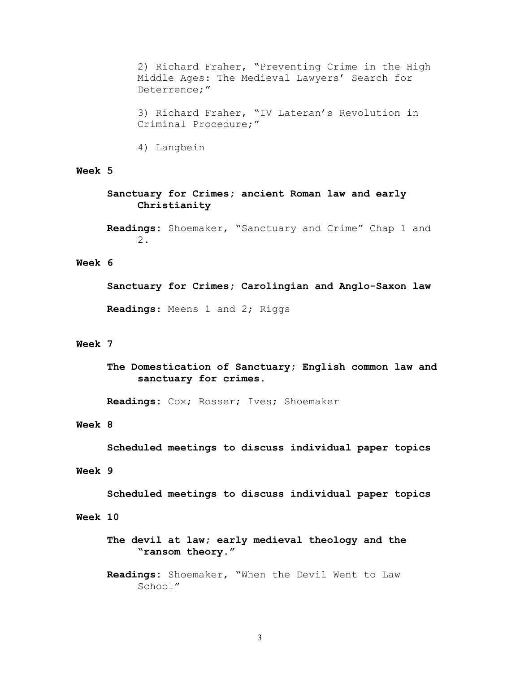2) Richard Fraher, "Preventing Crime in the High Middle Ages: The Medieval Lawyers' Search for Deterrence;"

3) Richard Fraher, "IV Lateran's Revolution in Criminal Procedure;"

4) Langbein

## **Week 5**

**Sanctuary for Crimes; ancient Roman law and early Christianity**

**Readings:** Shoemaker, "Sanctuary and Crime" Chap 1 and 2.

### **Week 6**

**Sanctuary for Crimes; Carolingian and Anglo-Saxon law Readings**: Meens 1 and 2; Riggs

## **Week 7**

**The Domestication of Sanctuary; English common law and sanctuary for crimes.**

**Readings:** Cox; Rosser; Ives; Shoemaker

## **Week 8**

**Scheduled meetings to discuss individual paper topics**

# **Week 9**

**Scheduled meetings to discuss individual paper topics**

## **Week 10**

**The devil at law; early medieval theology and the "ransom theory."**

**Readings:** Shoemaker, "When the Devil Went to Law School"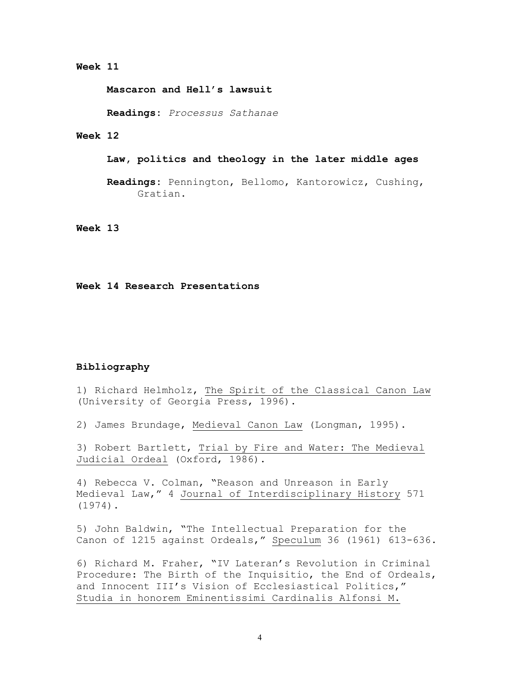#### **Week 11**

**Mascaron and Hell's lawsuit**

**Readings:** *Processus Sathanae*

#### **Week 12**

**Law, politics and theology in the later middle ages**

**Readings:** Pennington, Bellomo, Kantorowicz, Cushing, Gratian.

**Week 13**

#### **Week 14 Research Presentations**

#### **Bibliography**

1) Richard Helmholz, The Spirit of the Classical Canon Law (University of Georgia Press, 1996).

2) James Brundage, Medieval Canon Law (Longman, 1995).

3) Robert Bartlett, Trial by Fire and Water: The Medieval Judicial Ordeal (Oxford, 1986).

4) Rebecca V. Colman, "Reason and Unreason in Early Medieval Law," 4 Journal of Interdisciplinary History 571 (1974).

5) John Baldwin, "The Intellectual Preparation for the Canon of 1215 against Ordeals," Speculum 36 (1961) 613-636.

6) Richard M. Fraher, "IV Lateran's Revolution in Criminal Procedure: The Birth of the Inquisitio, the End of Ordeals, and Innocent III's Vision of Ecclesiastical Politics," Studia in honorem Eminentissimi Cardinalis Alfonsi M.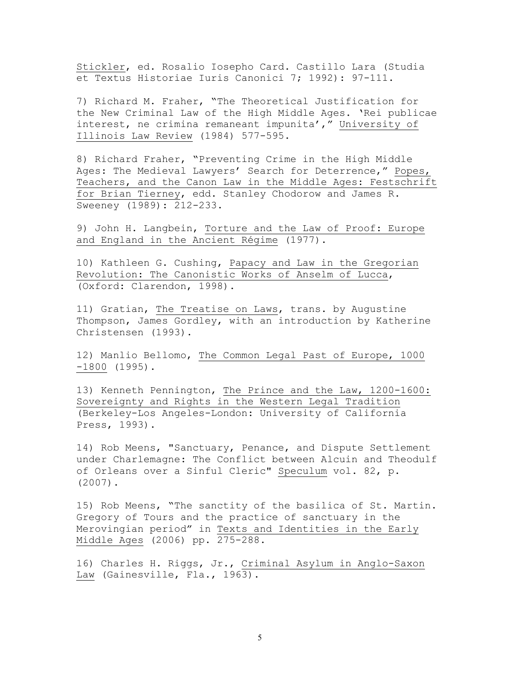Stickler, ed. Rosalio Iosepho Card. Castillo Lara (Studia et Textus Historiae Iuris Canonici 7; 1992): 97-111.

7) Richard M. Fraher, "The Theoretical Justification for the New Criminal Law of the High Middle Ages. 'Rei publicae interest, ne crimina remaneant impunita'," University of Illinois Law Review (1984) 577-595.

8) Richard Fraher, "Preventing Crime in the High Middle Ages: The Medieval Lawyers' Search for Deterrence," Popes, Teachers, and the Canon Law in the Middle Ages: Festschrift for Brian Tierney, edd. Stanley Chodorow and James R. Sweeney (1989): 212-233.

9) John H. Langbein, Torture and the Law of Proof: Europe and England in the Ancient Régime (1977).

10) Kathleen G. Cushing, Papacy and Law in the Gregorian Revolution: The Canonistic Works of Anselm of Lucca, (Oxford: Clarendon, 1998).

11) Gratian, The Treatise on Laws, trans. by Augustine Thompson, James Gordley, with an introduction by Katherine Christensen (1993).

12) Manlio Bellomo, The Common Legal Past of Europe, 1000 -1800 (1995).

13) Kenneth Pennington, The Prince and the Law, 1200-1600: Sovereignty and Rights in the Western Legal Tradition (Berkeley-Los Angeles-London: University of California Press, 1993).

14) Rob Meens, "Sanctuary, Penance, and Dispute Settlement under Charlemagne: The Conflict between Alcuin and Theodulf of Orleans over a Sinful Cleric" Speculum vol. 82, p. (2007).

15) Rob Meens, "The sanctity of the basilica of St. Martin. Gregory of Tours and the practice of sanctuary in the Merovingian period" in Texts and Identities in the Early Middle Ages (2006) pp. 275-288.

16) Charles H. Riggs, Jr., Criminal Asylum in Anglo-Saxon Law (Gainesville, Fla., 1963).